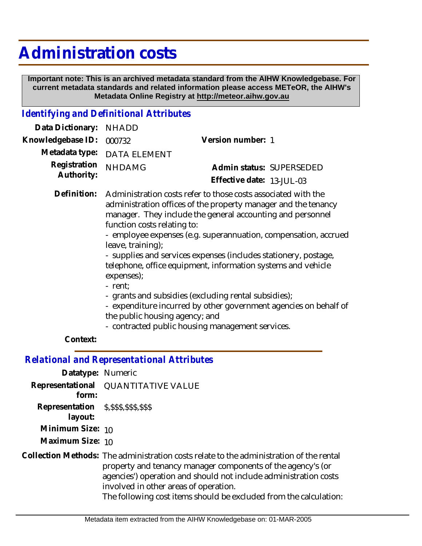## **Administration costs**

 **Important note: This is an archived metadata standard from the AIHW Knowledgebase. For current metadata standards and related information please access METeOR, the AIHW's Metadata Online Registry at http://meteor.aihw.gov.au**

## *Identifying and Definitional Attributes*

| Data Dictionary: NHADD     |                                                                                                                                                                                                                              |                           |  |
|----------------------------|------------------------------------------------------------------------------------------------------------------------------------------------------------------------------------------------------------------------------|---------------------------|--|
| Knowledgebase ID: 000732   |                                                                                                                                                                                                                              | Version number: 1         |  |
| Metadata type:             | <b>DATA ELEMENT</b>                                                                                                                                                                                                          |                           |  |
| Registration<br>Authority: | <b>NHDAMG</b>                                                                                                                                                                                                                | Admin status: SUPERSEDED  |  |
|                            |                                                                                                                                                                                                                              | Effective date: 13-JUL-03 |  |
| Definition:                | Administration costs refer to those costs associated with the<br>administration offices of the property manager and the tenancy<br>manager. They include the general accounting and personnel<br>function costs relating to: |                           |  |

- employee expenses (e.g. superannuation, compensation, accrued leave, training);

- supplies and services expenses (includes stationery, postage, telephone, office equipment, information systems and vehicle expenses);

- rent;
- grants and subsidies (excluding rental subsidies);
- expenditure incurred by other government agencies on behalf of the public housing agency; and
- contracted public housing management services.

## **Context:**

*Relational and Representational Attributes*

| Datatype: Numeric                                    |                                                                                                                                                                                                                                                                                                                                          |
|------------------------------------------------------|------------------------------------------------------------------------------------------------------------------------------------------------------------------------------------------------------------------------------------------------------------------------------------------------------------------------------------------|
| form:                                                | Representational QUANTITATIVE VALUE                                                                                                                                                                                                                                                                                                      |
| Representation \$, \$\$\$, \$\$\$, \$\$\$<br>layout: |                                                                                                                                                                                                                                                                                                                                          |
| Minimum Size: 10                                     |                                                                                                                                                                                                                                                                                                                                          |
| Maximum Size: 10                                     |                                                                                                                                                                                                                                                                                                                                          |
|                                                      | Collection Methods: The administration costs relate to the administration of the rental<br>property and tenancy manager components of the agency's (or<br>agencies') operation and should not include administration costs<br>involved in other areas of operation.<br>The following cost items should be excluded from the calculation: |